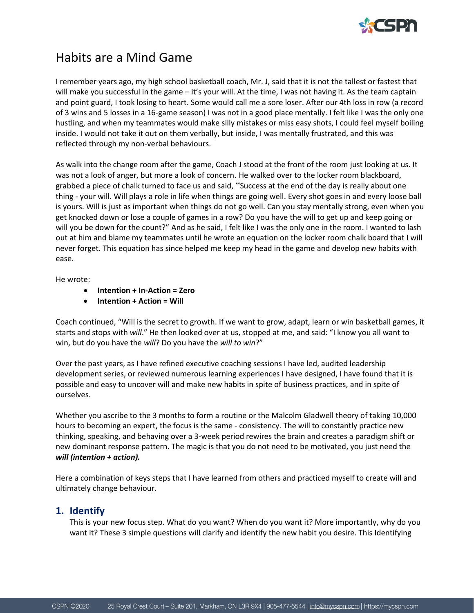

# Habits are a Mind Game

I remember years ago, my high school basketball coach, Mr. J, said that it is not the tallest or fastest that will make you successful in the game – it's your will. At the time, I was not having it. As the team captain and point guard, I took losing to heart. Some would call me a sore loser. After our 4th loss in row (a record of 3 wins and 5 losses in a 16-game season) I was not in a good place mentally. I felt like I was the only one hustling, and when my teammates would make silly mistakes or miss easy shots, I could feel myself boiling inside. I would not take it out on them verbally, but inside, I was mentally frustrated, and this was reflected through my non-verbal behaviours.

As walk into the change room after the game, Coach J stood at the front of the room just looking at us. It was not a look of anger, but more a look of concern. He walked over to the locker room blackboard, grabbed a piece of chalk turned to face us and said, "Success at the end of the day is really about one thing - your will. Will plays a role in life when things are going well. Every shot goes in and every loose ball is yours. Will is just as important when things do not go well. Can you stay mentally strong, even when you get knocked down or lose a couple of games in a row? Do you have the will to get up and keep going or will you be down for the count?" And as he said, I felt like I was the only one in the room. I wanted to lash out at him and blame my teammates until he wrote an equation on the locker room chalk board that I will never forget. This equation has since helped me keep my head in the game and develop new habits with ease.

He wrote:

- **Intention + In-Action = Zero**
- **Intention + Action = Will**

Coach continued, "Will is the secret to growth. If we want to grow, adapt, learn or win basketball games, it starts and stops with *will*." He then looked over at us, stopped at me, and said: "I know you all want to win, but do you have the *will*? Do you have the *will to win*?"

Over the past years, as I have refined executive coaching sessions I have led, audited leadership development series, or reviewed numerous learning experiences I have designed, I have found that it is possible and easy to uncover will and make new habits in spite of business practices, and in spite of ourselves.

Whether you ascribe to the 3 months to form a routine or the Malcolm Gladwell theory of taking 10,000 hours to becoming an expert, the focus is the same - consistency. The will to constantly practice new thinking, speaking, and behaving over a 3-week period rewires the brain and creates a paradigm shift or new dominant response pattern. The magic is that you do not need to be motivated, you just need the *will (intention + action).*

Here a combination of keys steps that I have learned from others and practiced myself to create will and ultimately change behaviour.

## **1. Identify**

This is your new focus step. What do you want? When do you want it? More importantly, why do you want it? These 3 simple questions will clarify and identify the new habit you desire. This Identifying